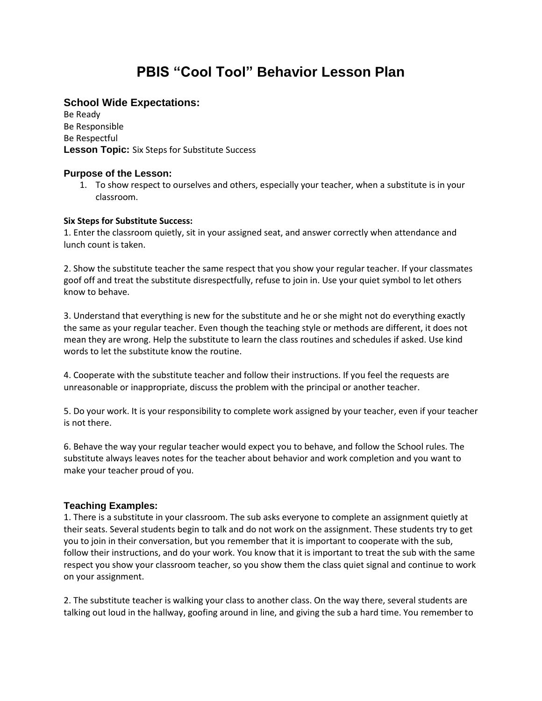# **PBIS "Cool Tool" Behavior Lesson Plan**

## **School Wide Expectations:**

Be Ready Be Responsible Be Respectful **Lesson Topic:** Six Steps for Substitute Success

## **Purpose of the Lesson:**

1. To show respect to ourselves and others, especially your teacher, when a substitute is in your classroom.

#### **Six Steps for Substitute Success:**

1. Enter the classroom quietly, sit in your assigned seat, and answer correctly when attendance and lunch count is taken.

2. Show the substitute teacher the same respect that you show your regular teacher. If your classmates goof off and treat the substitute disrespectfully, refuse to join in. Use your quiet symbol to let others know to behave.

3. Understand that everything is new for the substitute and he or she might not do everything exactly the same as your regular teacher. Even though the teaching style or methods are different, it does not mean they are wrong. Help the substitute to learn the class routines and schedules if asked. Use kind words to let the substitute know the routine.

4. Cooperate with the substitute teacher and follow their instructions. If you feel the requests are unreasonable or inappropriate, discuss the problem with the principal or another teacher.

5. Do your work. It is your responsibility to complete work assigned by your teacher, even if your teacher is not there.

6. Behave the way your regular teacher would expect you to behave, and follow the School rules. The substitute always leaves notes for the teacher about behavior and work completion and you want to make your teacher proud of you.

## **Teaching Examples:**

1. There is a substitute in your classroom. The sub asks everyone to complete an assignment quietly at their seats. Several students begin to talk and do not work on the assignment. These students try to get you to join in their conversation, but you remember that it is important to cooperate with the sub, follow their instructions, and do your work. You know that it is important to treat the sub with the same respect you show your classroom teacher, so you show them the class quiet signal and continue to work on your assignment.

2. The substitute teacher is walking your class to another class. On the way there, several students are talking out loud in the hallway, goofing around in line, and giving the sub a hard time. You remember to